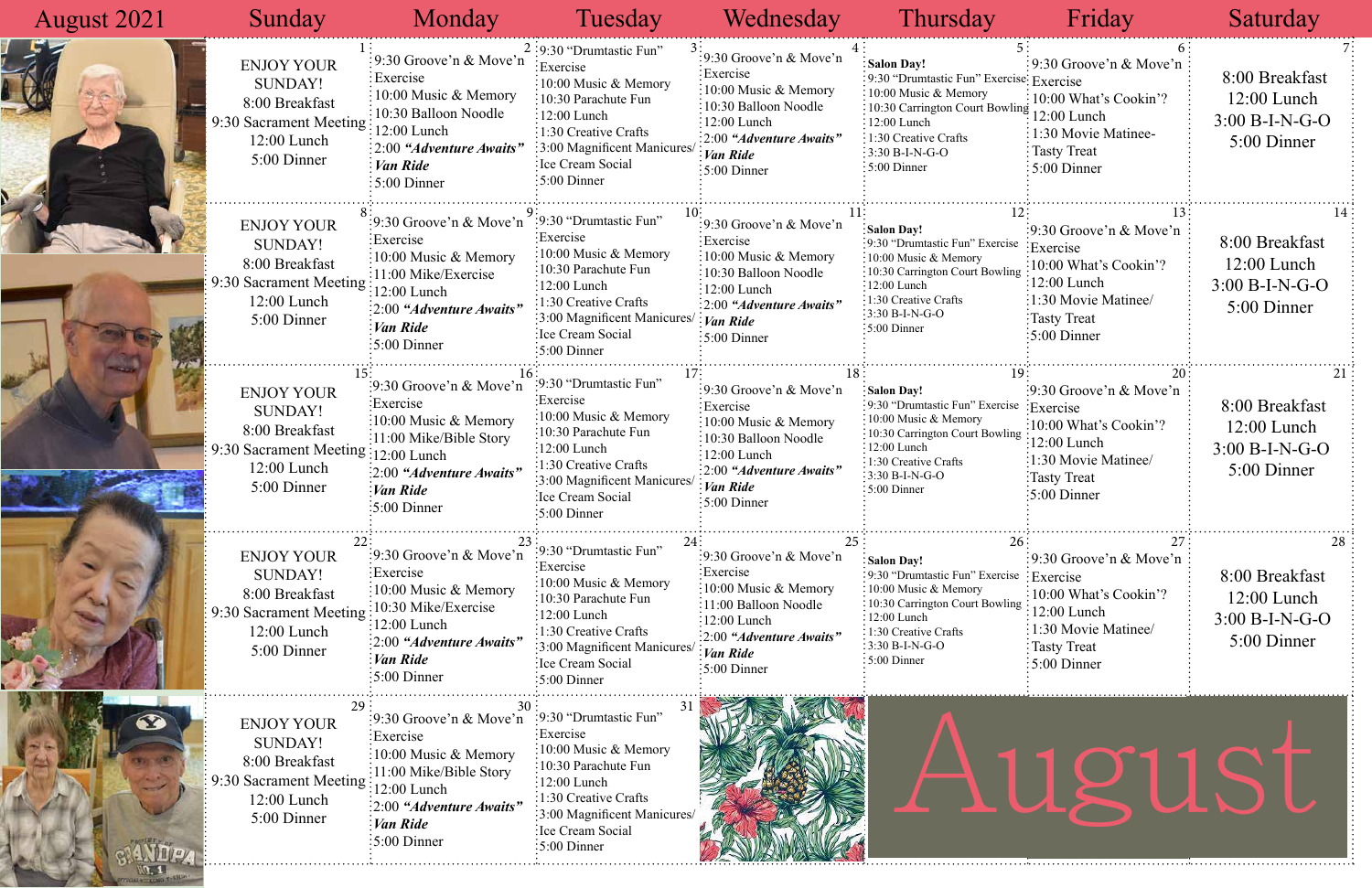### 9:30 Groove'n & Move'n 10:00 What's Cookin'? 1:30 Movie Matinee-Tasty Treat 5:00 Dinner 9:30 Groove'n & Move'n Exercise 10:00 What's Cookin'?  $\frac{ng}{12:00}$  Lunch 1:30 Movie Matinee/ Tasty Treat 5:00 Dinner 9:30 Groove'n & Move'n  $se$ : Exercise 10:00 What's Cookin'?  $\frac{\text{ng}}{12:00}$  Lunch 1:30 Movie Matinee/ Tasty Treat 5:00 Dinner 9:30 Groove'n & Move'n  $e$ : Exercise  $\frac{1}{2}$  10:00 What's Cookin'?  $\frac{12:00 \text{ Lunch}}{2}$ 1:30 Movie Matinee/ Tasty Treat 5:00 Dinner 5:00 Dinner

| <b>August 2021</b> | Sunday                                                                                                                                      | Monday                                                                                                                                                                                                                                                                                     | Tuesday                                                                                                                                                                                                                     | Wednesday                                                                                                                                                                                                           | Thursday                                                                                                                                                                                                                    | Friday                                                                                                                                                                | Saturday                                                           |
|--------------------|---------------------------------------------------------------------------------------------------------------------------------------------|--------------------------------------------------------------------------------------------------------------------------------------------------------------------------------------------------------------------------------------------------------------------------------------------|-----------------------------------------------------------------------------------------------------------------------------------------------------------------------------------------------------------------------------|---------------------------------------------------------------------------------------------------------------------------------------------------------------------------------------------------------------------|-----------------------------------------------------------------------------------------------------------------------------------------------------------------------------------------------------------------------------|-----------------------------------------------------------------------------------------------------------------------------------------------------------------------|--------------------------------------------------------------------|
|                    | <b>ENJOY YOUR</b><br><b>SUNDAY!</b><br>8:00 Breakfast<br>9:30 Sacrament Meeting<br>12:00 Lunch<br>5:00 Dinner                               | :9:30 Groove'n & Move'n<br>$:$ Exercise<br>$\frac{1}{2}10:00$ Music & Memory<br>:10:30 Balloon Noodle<br>$12:00$ Lunch<br>$\frac{1}{2}$ : 2:00 "Adventure Awaits"<br>Van Ride<br>$\cdot 5:00$ Dinner                                                                                       | $2:9:30$ "Drumtastic Fun"<br>Exercise<br>:10:00 Music & Memory<br>:10:30 Parachute Fun<br>$\frac{1}{2}12:00$ Lunch<br>$:1:30$ Creative Crafts<br>3:00 Magnificent Manicures<br>Ice Cream Social<br>$\frac{1}{2}$ :00 Dinner | :9:30 Groove'n & Move'n<br>Exercise<br>$10:00$ Music & Memory<br>:10:30 Balloon Noodle<br>$:12:00$ Lunch<br>$\frac{1}{2}2.00$ "Adventure Awaits"<br>: Van Ride<br>$:5:00$ Dinner                                    | Salon Day!<br>:9:30 "Drumtastic Fun" Exercise: Exercise<br>$\frac{1}{2}$ 10:00 Music & Memory<br>: 10:30 Carrington Court Bowling<br>$: 12:00$ Lunch<br>: 1:30 Creative Crafts<br>$:3:30 B-I-N-G-O$<br>$:5:00$ Dinner       | : 9:30 Groove'n & Move'n :<br>10:00 What's Cookin'?<br>12:00 Lunch<br>1:30 Movie Matinee-<br>: Tasty Treat<br>$\frac{1}{2}$ 5:00 Dinner                               | 8:00 Breakfast<br>$12:00$ Lunch<br>$3:00 B-I-N-G-O$<br>5:00 Dinner |
|                    | <b>ENJOY YOUR</b><br><b>SUNDAY!</b><br>8:00 Breakfast<br>9:30 Sacrament Meeting<br>12:00 Lunch<br>5:00 Dinner                               | :9:30 Groove'n & Move'n <sup>2</sup> :9:30 "Drumtastic Fun"<br>:Exercise<br>$\frac{10:00 \text{ Music} \& \text{Memory}}{}$<br>$\frac{11:00 \text{ Mike}/\text{Exercise}}{}$<br>$\frac{12:00 \text{ Lunch}}{2}$<br>$\frac{1}{2}$ :00 "Adventure Awaits"<br>:Van Ride<br>$\div 5:00$ Dinner | Exercise<br>$\frac{1}{2}10:00$ Music & Memory<br>:10:30 Parachute Fun<br>$\frac{12:00}{2}$ Lunch<br>$:1:30$ Creative Crafts<br>:3:00 Magnificent Manicures<br>Ice Cream Social<br>$\frac{1}{2}$ 5:00 Dinner                 | :9:30 Groove'n & Move'n<br>Exercise<br>$\frac{1}{2}10:00$ Music & Memory<br>:10:30 Balloon Noodle<br>$\frac{12:00 \text{ Lunch}}{2}$<br>:2:00 "Adventure Awaits"<br>$:$ <i>Van Ride</i><br>$\frac{1}{2}$ :00 Dinner | Salon Day!<br>:9:30 "Drumtastic Fun" Exercise<br>$\frac{1}{2}10:00$ Music & Memory<br>10:30 Carrington Court Bowling<br>$:12:00$ Lunch<br>:1:30 Creative Crafts<br>$:3:30 B-I-N-G-O$<br>:5:00 Dinner                        | :9:30 Groove'n & Move'n<br>Exercise<br>$\frac{10:00 \text{ What's Cookin}'}{2}$<br>$:12:00$ Lunch<br>:1:30 Movie Matinee/<br>:Tasty Treat<br>$\frac{1}{2}$ :00 Dinner | 8:00 Breakfast<br>$12:00$ Lunch<br>$3:00 B-I-N-G-O$<br>5:00 Dinner |
|                    | <b>ENJOY YOUR</b><br><b>SUNDAY!</b><br>8:00 Breakfast<br>9:30 Sacrament Meeting $\frac{1}{12:00}$ Lunch<br>$12:00$ Lunch<br>5:00 Dinner     | $\frac{1}{2}$ 9:30 Groove'n & Move'n<br>Exercise<br>$\frac{10:00 \text{ Music } \& \text{Memory}}$<br>:11:00 Mike/Bible Story<br>:2:00 "Adventure Awaits"<br>Van Ride<br>$\frac{1}{2}$ :00 Dinner                                                                                          | :9:30 "Drumtastic Fun"<br>:Exercise<br>:10:00 Music & Memory<br>10:30 Parachute Fun<br>$:12:00$ Lunch<br>1:30 Creative Crafts<br>:3:00 Magnificent Manicures<br>:Ice Cream Social<br>$\frac{1}{2}$ :00 Dinner               | :9:30 Groove'n & Move'n<br>Exercise<br>$\frac{1}{2}10:00$ Music & Memory<br>:10:30 Balloon Noodle<br>$:12:00$ Lunch<br>$\frac{1}{2}$ :2:00 "Adventure Awaits"<br>: Van Ride<br>$\frac{1}{2}$ 5:00 Dinner            | : Salon Day!<br>:9:30 "Drumtastic Fun" Exercise<br>$\frac{1}{2}10:00$ Music & Memory<br>:10:30 Carrington Court Bowling<br>$\frac{12:00 \text{ Lunch}}{2}$<br>: 1:30 Creative Crafts<br>$:3:30 B-I-N-G-O$<br>$:5:00$ Dinner | :9:30 Groove'n $\&$ Move'n<br>Exercise<br>:10:00 What's Cookin'?<br>$\frac{12:00}{2}$ Lunch<br>1:30 Movie Matinee/<br>Tasty Treat<br>$\frac{1}{2}$ :00 Dinner         | 8:00 Breakfast<br>$12:00$ Lunch<br>$3:00 B-I-N-G-O$<br>5:00 Dinner |
|                    | <b>ENJOY YOUR</b><br><b>SUNDAY!</b><br>8:00 Breakfast<br>9:30 Sacrament Meeting<br>$12:00$ Lunch<br>5:00 Dinner                             | $\frac{1}{2}$ 9:30 Groove'n & Move'n<br>:Exercise<br>$\frac{10:00 \text{ Music} \& \text{Memory}}{}$<br>$\div 10 \div 30$ Mike/Exercise<br>:12:00 Lunch<br>$\frac{1}{2}:00$ "Adventure Awaits"<br>Van Ride<br>$\frac{1}{2}$ 5:00 Dinner                                                    | :9:30 "Drumtastic Fun"<br>:Exercise<br>:10:00 Music & Memory<br>:10:30 Parachute Fun<br>$:12:00$ Lunch<br>:1:30 Creative Crafts<br>3:00 Magnificent Manicures<br>Ice Cream Social<br>$:5:00$ Dinner                         | :9:30 Groove'n & Move'n<br>Exercise:<br>$\frac{10:00 \text{ Music} \& \text{Memory}}$<br>:11:00 Balloon Noodle<br>$\frac{1}{2}12:00$ Lunch<br>:2:00 "Adventure Awaits"<br>Van Ride<br>$\frac{1}{2}$ 5:00 Dinner     | Salon Day!<br>:9:30 "Drumtastic Fun" Exercise<br>$\frac{1}{2}10:00$ Music & Memory<br>:10:30 Carrington Court Bowling<br>$:12:00$ Lunch<br>: 1:30 Creative Crafts<br>$:3:30 B-I-N-G-O$<br>: 5:00 Dinner                     | $\frac{1}{2}$ 9:30 Groove'n & Move'n<br>Exercise<br>:10:00 What's Cookin'?<br>12:00 Lunch<br>1:30 Movie Matinee/<br>Tasty Treat<br>$\frac{1}{2}$ 5:00 Dinner          | 8:00 Breakfast<br>$12:00$ Lunch<br>$3:00 B-I-N-G-O$<br>5:00 Dinner |
|                    | <b>ENJOY YOUR</b><br><b>SUNDAY!</b><br>8:00 Breakfast<br>9:30 Sacrament Meeting $\frac{11100}{12:00}$ Lunch<br>$12:00$ Lunch<br>5:00 Dinner | :9:30 Groove'n $\&$ Move'n<br>:Exercise<br>$\frac{10:00 \text{ Music} \& \text{Memory}}{}$<br>$\frac{1}{2}$ :11:00 Mike/Bible Story<br>$\frac{1}{2}:00$ "Adventure Awaits"<br>Van Ride<br>:5:00 Dinner                                                                                     | :9:30 "Drumtastic Fun"<br>Exercise:<br>:10:00 Music & Memory<br>:10:30 Parachute Fun<br>:12:00 Lunch<br>:1:30 Creative Crafts<br>:3:00 Magnificent Manicures/<br>Ice Cream Social<br>$:5:00$ Dinner                         |                                                                                                                                                                                                                     |                                                                                                                                                                                                                             | TUYUST.                                                                                                                                                               |                                                                    |

Ĩ

一个人